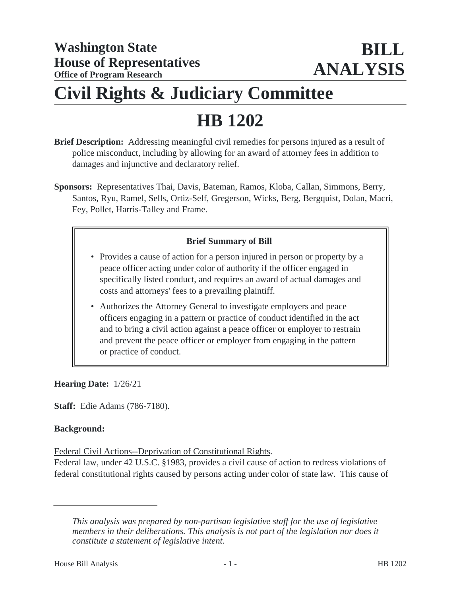## **Civil Rights & Judiciary Committee**

# **HB 1202**

- **Brief Description:** Addressing meaningful civil remedies for persons injured as a result of police misconduct, including by allowing for an award of attorney fees in addition to damages and injunctive and declaratory relief.
- **Sponsors:** Representatives Thai, Davis, Bateman, Ramos, Kloba, Callan, Simmons, Berry, Santos, Ryu, Ramel, Sells, Ortiz-Self, Gregerson, Wicks, Berg, Bergquist, Dolan, Macri, Fey, Pollet, Harris-Talley and Frame.

## **Brief Summary of Bill**

- Provides a cause of action for a person injured in person or property by a peace officer acting under color of authority if the officer engaged in specifically listed conduct, and requires an award of actual damages and costs and attorneys' fees to a prevailing plaintiff.
- Authorizes the Attorney General to investigate employers and peace officers engaging in a pattern or practice of conduct identified in the act and to bring a civil action against a peace officer or employer to restrain and prevent the peace officer or employer from engaging in the pattern or practice of conduct.

**Hearing Date:** 1/26/21

**Staff:** Edie Adams (786-7180).

#### **Background:**

Federal Civil Actions--Deprivation of Constitutional Rights.

Federal law, under 42 U.S.C. §1983, provides a civil cause of action to redress violations of federal constitutional rights caused by persons acting under color of state law. This cause of

*This analysis was prepared by non-partisan legislative staff for the use of legislative members in their deliberations. This analysis is not part of the legislation nor does it constitute a statement of legislative intent.*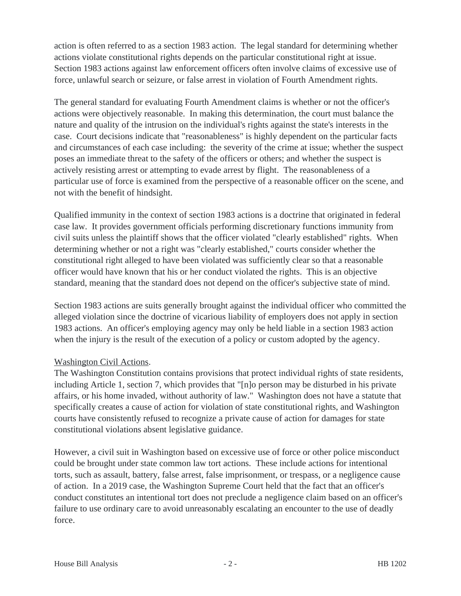action is often referred to as a section 1983 action. The legal standard for determining whether actions violate constitutional rights depends on the particular constitutional right at issue. Section 1983 actions against law enforcement officers often involve claims of excessive use of force, unlawful search or seizure, or false arrest in violation of Fourth Amendment rights.

The general standard for evaluating Fourth Amendment claims is whether or not the officer's actions were objectively reasonable. In making this determination, the court must balance the nature and quality of the intrusion on the individual's rights against the state's interests in the case. Court decisions indicate that "reasonableness" is highly dependent on the particular facts and circumstances of each case including: the severity of the crime at issue; whether the suspect poses an immediate threat to the safety of the officers or others; and whether the suspect is actively resisting arrest or attempting to evade arrest by flight. The reasonableness of a particular use of force is examined from the perspective of a reasonable officer on the scene, and not with the benefit of hindsight.

Qualified immunity in the context of section 1983 actions is a doctrine that originated in federal case law. It provides government officials performing discretionary functions immunity from civil suits unless the plaintiff shows that the officer violated "clearly established" rights. When determining whether or not a right was "clearly established," courts consider whether the constitutional right alleged to have been violated was sufficiently clear so that a reasonable officer would have known that his or her conduct violated the rights. This is an objective standard, meaning that the standard does not depend on the officer's subjective state of mind.

Section 1983 actions are suits generally brought against the individual officer who committed the alleged violation since the doctrine of vicarious liability of employers does not apply in section 1983 actions. An officer's employing agency may only be held liable in a section 1983 action when the injury is the result of the execution of a policy or custom adopted by the agency.

#### Washington Civil Actions.

The Washington Constitution contains provisions that protect individual rights of state residents, including Article 1, section 7, which provides that "[n]o person may be disturbed in his private affairs, or his home invaded, without authority of law." Washington does not have a statute that specifically creates a cause of action for violation of state constitutional rights, and Washington courts have consistently refused to recognize a private cause of action for damages for state constitutional violations absent legislative guidance.

However, a civil suit in Washington based on excessive use of force or other police misconduct could be brought under state common law tort actions. These include actions for intentional torts, such as assault, battery, false arrest, false imprisonment, or trespass, or a negligence cause of action. In a 2019 case, the Washington Supreme Court held that the fact that an officer's conduct constitutes an intentional tort does not preclude a negligence claim based on an officer's failure to use ordinary care to avoid unreasonably escalating an encounter to the use of deadly force.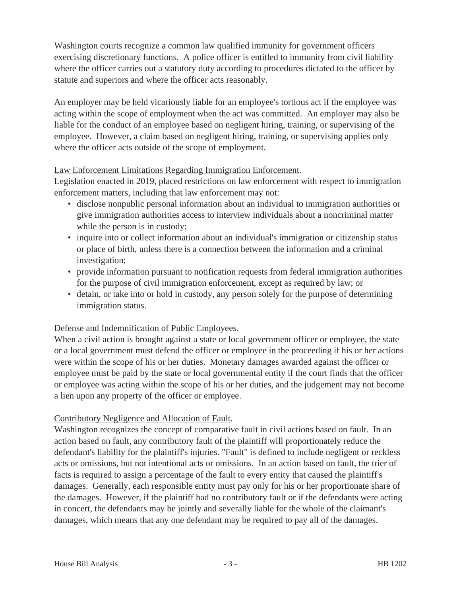Washington courts recognize a common law qualified immunity for government officers exercising discretionary functions. A police officer is entitled to immunity from civil liability where the officer carries out a statutory duty according to procedures dictated to the officer by statute and superiors and where the officer acts reasonably.

An employer may be held vicariously liable for an employee's tortious act if the employee was acting within the scope of employment when the act was committed. An employer may also be liable for the conduct of an employee based on negligent hiring, training, or supervising of the employee. However, a claim based on negligent hiring, training, or supervising applies only where the officer acts outside of the scope of employment.

## Law Enforcement Limitations Regarding Immigration Enforcement.

Legislation enacted in 2019, placed restrictions on law enforcement with respect to immigration enforcement matters, including that law enforcement may not:

- disclose nonpublic personal information about an individual to immigration authorities or give immigration authorities access to interview individuals about a noncriminal matter while the person is in custody;
- inquire into or collect information about an individual's immigration or citizenship status or place of birth, unless there is a connection between the information and a criminal investigation;
- provide information pursuant to notification requests from federal immigration authorities for the purpose of civil immigration enforcement, except as required by law; or
- detain, or take into or hold in custody, any person solely for the purpose of determining immigration status.

## Defense and Indemnification of Public Employees.

When a civil action is brought against a state or local government officer or employee, the state or a local government must defend the officer or employee in the proceeding if his or her actions were within the scope of his or her duties. Monetary damages awarded against the officer or employee must be paid by the state or local governmental entity if the court finds that the officer or employee was acting within the scope of his or her duties, and the judgement may not become a lien upon any property of the officer or employee.

#### Contributory Negligence and Allocation of Fault.

Washington recognizes the concept of comparative fault in civil actions based on fault. In an action based on fault, any contributory fault of the plaintiff will proportionately reduce the defendant's liability for the plaintiff's injuries. "Fault" is defined to include negligent or reckless acts or omissions, but not intentional acts or omissions. In an action based on fault, the trier of facts is required to assign a percentage of the fault to every entity that caused the plaintiff's damages. Generally, each responsible entity must pay only for his or her proportionate share of the damages. However, if the plaintiff had no contributory fault or if the defendants were acting in concert, the defendants may be jointly and severally liable for the whole of the claimant's damages, which means that any one defendant may be required to pay all of the damages.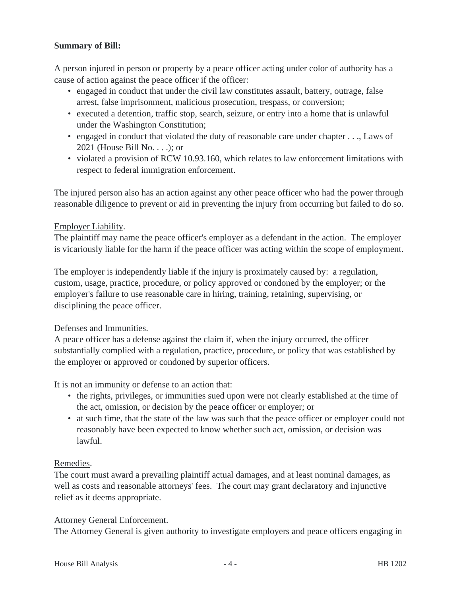## **Summary of Bill:**

A person injured in person or property by a peace officer acting under color of authority has a cause of action against the peace officer if the officer:

- engaged in conduct that under the civil law constitutes assault, battery, outrage, false arrest, false imprisonment, malicious prosecution, trespass, or conversion;
- executed a detention, traffic stop, search, seizure, or entry into a home that is unlawful under the Washington Constitution;
- engaged in conduct that violated the duty of reasonable care under chapter . . ., Laws of 2021 (House Bill No. . . .); or
- violated a provision of RCW 10.93.160, which relates to law enforcement limitations with respect to federal immigration enforcement.

The injured person also has an action against any other peace officer who had the power through reasonable diligence to prevent or aid in preventing the injury from occurring but failed to do so.

#### Employer Liability.

The plaintiff may name the peace officer's employer as a defendant in the action. The employer is vicariously liable for the harm if the peace officer was acting within the scope of employment.

The employer is independently liable if the injury is proximately caused by: a regulation, custom, usage, practice, procedure, or policy approved or condoned by the employer; or the employer's failure to use reasonable care in hiring, training, retaining, supervising, or disciplining the peace officer.

#### Defenses and Immunities.

A peace officer has a defense against the claim if, when the injury occurred, the officer substantially complied with a regulation, practice, procedure, or policy that was established by the employer or approved or condoned by superior officers.

It is not an immunity or defense to an action that:

- the rights, privileges, or immunities sued upon were not clearly established at the time of the act, omission, or decision by the peace officer or employer; or
- at such time, that the state of the law was such that the peace officer or employer could not reasonably have been expected to know whether such act, omission, or decision was lawful.

#### Remedies.

The court must award a prevailing plaintiff actual damages, and at least nominal damages, as well as costs and reasonable attorneys' fees. The court may grant declaratory and injunctive relief as it deems appropriate.

#### Attorney General Enforcement.

The Attorney General is given authority to investigate employers and peace officers engaging in